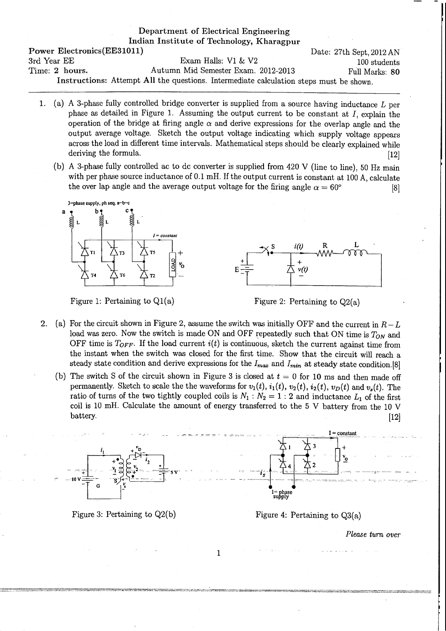## Department of Electrical Engineering Indian Institute of Technology, Kharagpur Power Electronics(EE31011) Date: 27th Sept. 2012 AN 3rd Year EE Exam Halls: V1 & V2 100 students Time: 2 hours. Autumn Mid Semester Exam. 2012-2013 Full Marks: 80 Instructions: Attempt All the questions. Intermediate calculation steps must be shown.

- 1. (a) A 3-phase fully controlled bridge converter is supplied from a source having inductance  $L$  per phase as detailed in Figure 1. Assuming the output current to be constant at *I,* explain the operation of the bridge at firing angle  $\alpha$  and derive expressions for the overlap angle and the output average voltage. Sketch the output voltage indicating which supply voltage appears across the load in different time intervals. Mathematical steps should be clearly explained while deriving the formula. [12]
	- (b) A 3-phase fully controlled ac to de converter is supplied from  $420 \text{ V}$  (line to line), 50 Hz main with per phase source inductance of 0.1 mH. If the output current is constant at 100 A, calculate the over lap angle and the average output voltage for the firing angle  $\alpha = 60^{\circ}$  [8]



Figure 1: Pertaining to  $Q1(a)$  Figure 2: Pertaining to  $Q2(a)$ 

- 2. (a) For the circuit shown in Figure 2, assume the switch was initially OFF and the current in  $R-L$ load was zero. Now the switch is made ON and OFF repeatedly such that ON time is  $T_{ON}$  and OFF time is  $T_{OFF}$ . If the load current  $i(t)$  is continuous, sketch the current against time from the instant when the switch was closed for the first time. Show that the circuit will reach a steady state condition and derive expressions for the *Imax* and *Imin* at steady state condition.[8]
	- (b) The switch S of the circuit shown in Figure 3 is closed at  $t = 0$  for 10 ms and then made off permanently. Sketch to scale the the waveforms for  $v_1(t)$ ,  $i_1(t)$ ,  $v_2(t)$ ,  $i_2(t)$ ,  $v_D(t)$  and  $v_s(t)$ . The ratio of turns of the two tightly coupled coils is  $N_1 : N_2 = 1 : 2$  and inductance  $L_1$  of the first coil is 10 mH. Calculate the amount of energy transferred to the 5 V battery from the 10 V battery. (12)





Figure 4: Pertaining to Q3(a)

*Please tum over*